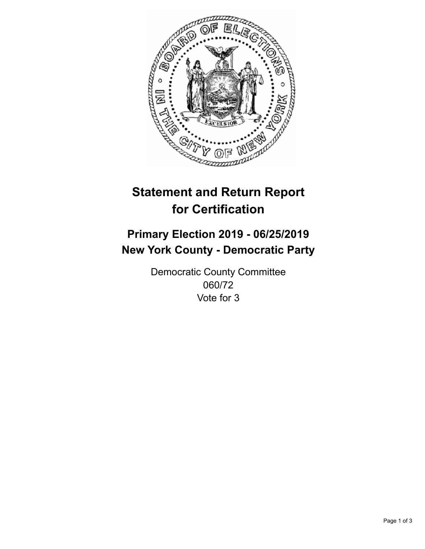

## **Statement and Return Report for Certification**

## **Primary Election 2019 - 06/25/2019 New York County - Democratic Party**

Democratic County Committee 060/72 Vote for 3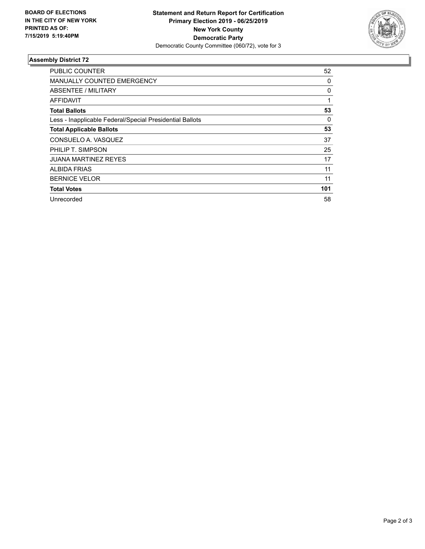

## **Assembly District 72**

| <b>PUBLIC COUNTER</b>                                    | 52  |
|----------------------------------------------------------|-----|
| <b>MANUALLY COUNTED EMERGENCY</b>                        | 0   |
| ABSENTEE / MILITARY                                      | 0   |
| <b>AFFIDAVIT</b>                                         |     |
| <b>Total Ballots</b>                                     | 53  |
| Less - Inapplicable Federal/Special Presidential Ballots | 0   |
| <b>Total Applicable Ballots</b>                          | 53  |
| CONSUELO A. VASQUEZ                                      | 37  |
| PHILIP T. SIMPSON                                        | 25  |
| JUANA MARTINEZ REYES                                     | 17  |
| <b>ALBIDA FRIAS</b>                                      | 11  |
| <b>BERNICE VELOR</b>                                     | 11  |
| <b>Total Votes</b>                                       | 101 |
| Unrecorded                                               | 58  |